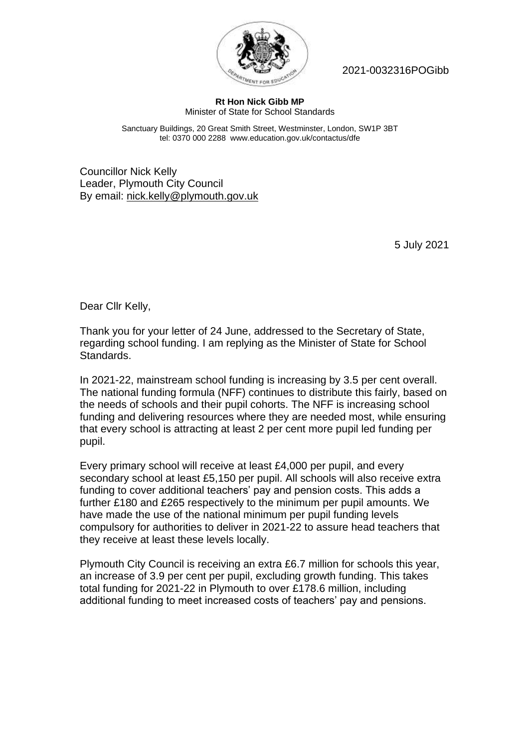

2021-0032316POGibb

## **Rt Hon Nick Gibb MP** Minister of State for School Standards

Sanctuary Buildings, 20 Great Smith Street, Westminster, London, SW1P 3BT tel: 0370 000 2288 www.education.gov.uk/contactus/dfe

Councillor Nick Kelly Leader, Plymouth City Council By email: nick.kelly@plymouth.gov.uk

5 July 2021

Dear Cllr Kelly,

Thank you for your letter of 24 June, addressed to the Secretary of State, regarding school funding. I am replying as the Minister of State for School Standards.

In 2021-22, mainstream school funding is increasing by 3.5 per cent overall. The national funding formula (NFF) continues to distribute this fairly, based on the needs of schools and their pupil cohorts. The NFF is increasing school funding and delivering resources where they are needed most, while ensuring that every school is attracting at least 2 per cent more pupil led funding per pupil.

Every primary school will receive at least £4,000 per pupil, and every secondary school at least £5,150 per pupil. All schools will also receive extra funding to cover additional teachers' pay and pension costs. This adds a further £180 and £265 respectively to the minimum per pupil amounts. We have made the use of the national minimum per pupil funding levels compulsory for authorities to deliver in 2021-22 to assure head teachers that they receive at least these levels locally.

Plymouth City Council is receiving an extra £6.7 million for schools this year, an increase of 3.9 per cent per pupil, excluding growth funding. This takes total funding for 2021-22 in Plymouth to over £178.6 million, including additional funding to meet increased costs of teachers' pay and pensions.